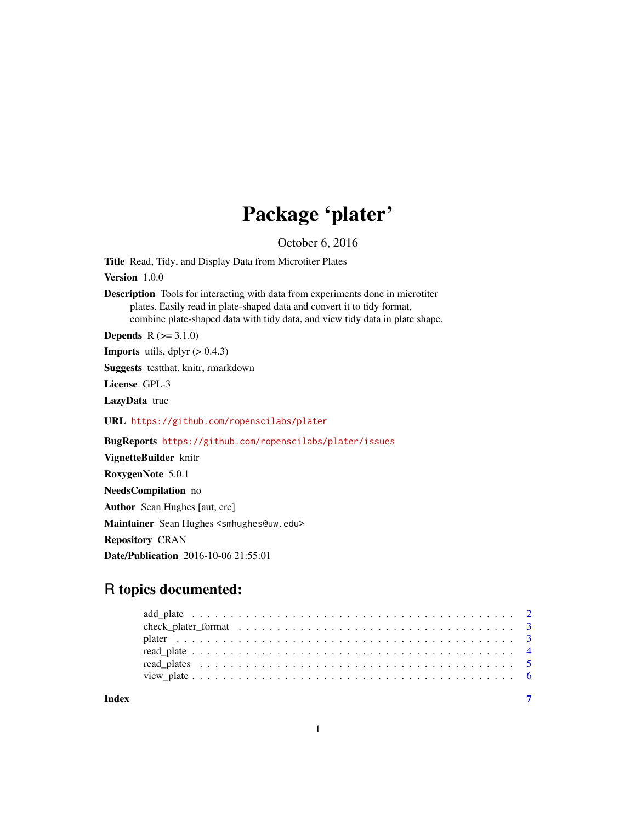## Package 'plater'

October 6, 2016

Title Read, Tidy, and Display Data from Microtiter Plates

Version 1.0.0

Description Tools for interacting with data from experiments done in microtiter plates. Easily read in plate-shaped data and convert it to tidy format, combine plate-shaped data with tidy data, and view tidy data in plate shape.

**Depends**  $R (= 3.1.0)$ 

**Imports** utils, dplyr  $(> 0.4.3)$ 

Suggests testthat, knitr, rmarkdown

License GPL-3

LazyData true

URL <https://github.com/ropenscilabs/plater>

BugReports <https://github.com/ropenscilabs/plater/issues>

VignetteBuilder knitr RoxygenNote 5.0.1 NeedsCompilation no Author Sean Hughes [aut, cre] Maintainer Sean Hughes <smhughes@uw.edu> Repository CRAN Date/Publication 2016-10-06 21:55:01

### R topics documented:

| Index |  |
|-------|--|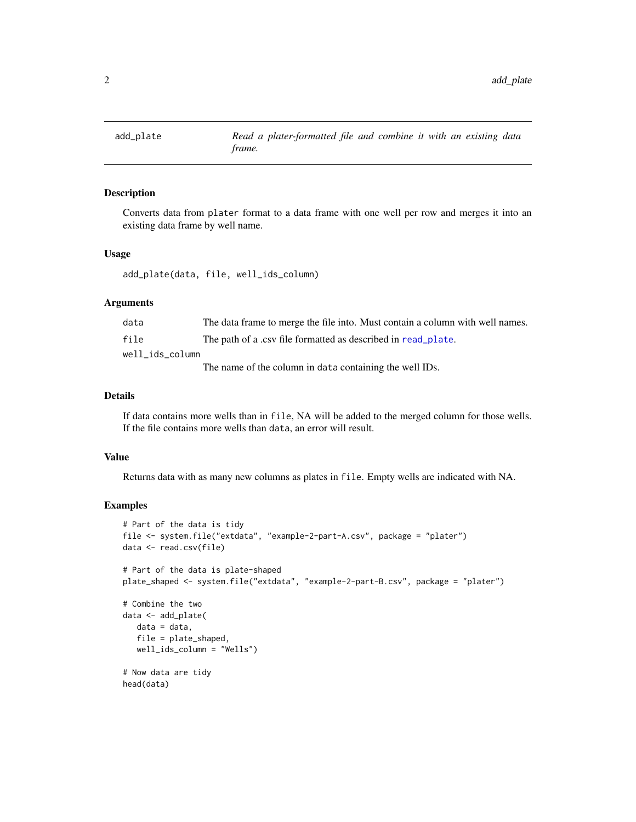<span id="page-1-1"></span><span id="page-1-0"></span>

#### Description

Converts data from plater format to a data frame with one well per row and merges it into an existing data frame by well name.

#### Usage

add\_plate(data, file, well\_ids\_column)

#### Arguments

| data            | The data frame to merge the file into. Must contain a column with well names. |
|-----------------|-------------------------------------------------------------------------------|
| file            | The path of a .csv file formatted as described in read_plate.                 |
| well ids column |                                                                               |
|                 | The name of the column in data containing the well IDs.                       |

#### Details

If data contains more wells than in file, NA will be added to the merged column for those wells. If the file contains more wells than data, an error will result.

#### Value

Returns data with as many new columns as plates in file. Empty wells are indicated with NA.

#### Examples

```
# Part of the data is tidy
file <- system.file("extdata", "example-2-part-A.csv", package = "plater")
data <- read.csv(file)
# Part of the data is plate-shaped
plate_shaped <- system.file("extdata", "example-2-part-B.csv", package = "plater")
# Combine the two
data <- add_plate(
  data = data,
   file = plate_shaped,
   well_ids_column = "Wells")
# Now data are tidy
head(data)
```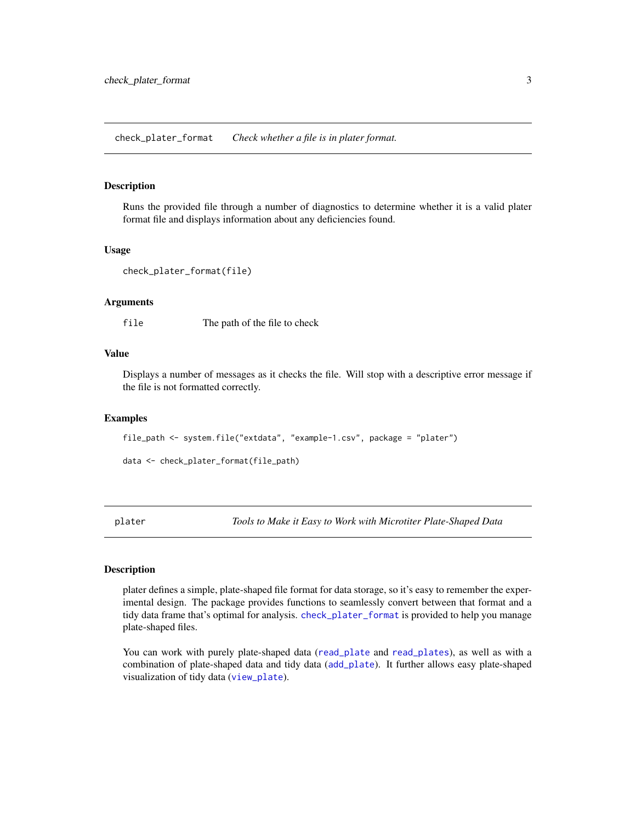<span id="page-2-1"></span><span id="page-2-0"></span>check\_plater\_format *Check whether a file is in plater format.*

#### Description

Runs the provided file through a number of diagnostics to determine whether it is a valid plater format file and displays information about any deficiencies found.

#### Usage

```
check_plater_format(file)
```
#### Arguments

file The path of the file to check

#### Value

Displays a number of messages as it checks the file. Will stop with a descriptive error message if the file is not formatted correctly.

#### Examples

```
file_path <- system.file("extdata", "example-1.csv", package = "plater")
```
data <- check\_plater\_format(file\_path)

plater *Tools to Make it Easy to Work with Microtiter Plate-Shaped Data*

#### Description

plater defines a simple, plate-shaped file format for data storage, so it's easy to remember the experimental design. The package provides functions to seamlessly convert between that format and a tidy data frame that's optimal for analysis. [check\\_plater\\_format](#page-2-1) is provided to help you manage plate-shaped files.

You can work with purely plate-shaped data ([read\\_plate](#page-3-1) and [read\\_plates](#page-4-1)), as well as with a combination of plate-shaped data and tidy data ([add\\_plate](#page-1-1)). It further allows easy plate-shaped visualization of tidy data ([view\\_plate](#page-5-1)).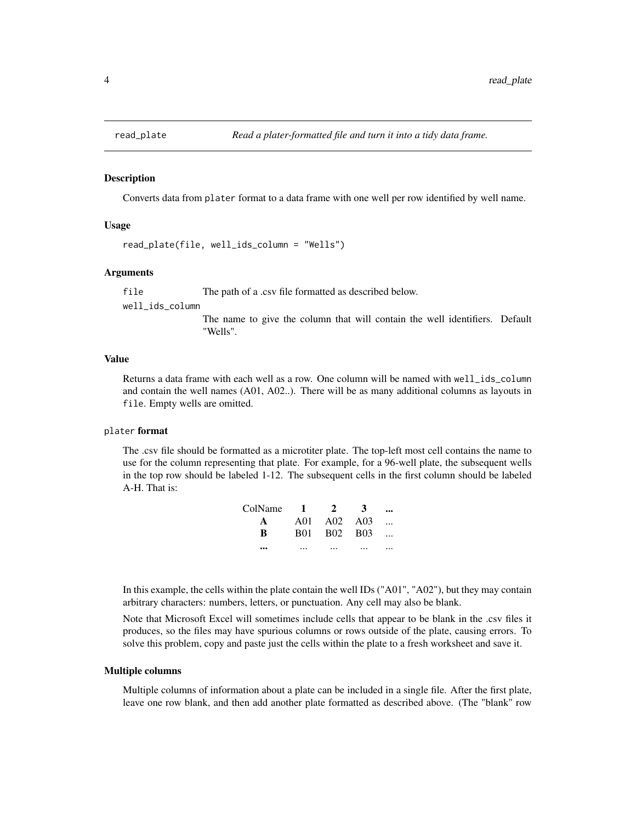<span id="page-3-1"></span><span id="page-3-0"></span>

#### Description

Converts data from plater format to a data frame with one well per row identified by well name.

#### Usage

```
read_plate(file, well_ids_column = "Wells")
```
#### Arguments

file The path of a .csv file formatted as described below.

well\_ids\_column

The name to give the column that will contain the well identifiers. Default "Wells".

#### Value

Returns a data frame with each well as a row. One column will be named with well\_ids\_column and contain the well names (A01, A02..). There will be as many additional columns as layouts in file. Empty wells are omitted.

#### plater format

The .csv file should be formatted as a microtiter plate. The top-left most cell contains the name to use for the column representing that plate. For example, for a 96-well plate, the subsequent wells in the top row should be labeled 1-12. The subsequent cells in the first column should be labeled A-H. That is:

| ColName 1 | $2^{\circ}$ | -3 |                          |
|-----------|-------------|----|--------------------------|
| A         | A01 A02 A03 |    | $\overline{\phantom{a}}$ |
| R         | B01 B02 B03 |    |                          |
|           |             |    |                          |

In this example, the cells within the plate contain the well IDs ("A01", "A02"), but they may contain arbitrary characters: numbers, letters, or punctuation. Any cell may also be blank.

Note that Microsoft Excel will sometimes include cells that appear to be blank in the .csv files it produces, so the files may have spurious columns or rows outside of the plate, causing errors. To solve this problem, copy and paste just the cells within the plate to a fresh worksheet and save it.

#### Multiple columns

Multiple columns of information about a plate can be included in a single file. After the first plate, leave one row blank, and then add another plate formatted as described above. (The "blank" row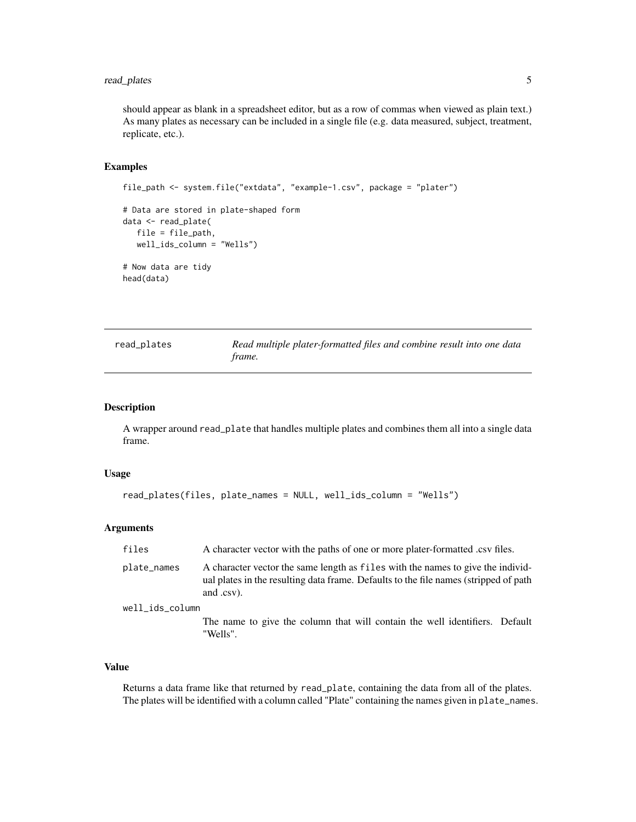#### <span id="page-4-0"></span>read\_plates 5

should appear as blank in a spreadsheet editor, but as a row of commas when viewed as plain text.) As many plates as necessary can be included in a single file (e.g. data measured, subject, treatment, replicate, etc.).

#### Examples

```
file_path <- system.file("extdata", "example-1.csv", package = "plater")
# Data are stored in plate-shaped form
data <- read_plate(
  file = file_path,
   well_ids_column = "Wells")
# Now data are tidy
head(data)
```
<span id="page-4-1"></span>

| read_plates | Read multiple plater-formatted files and combine result into one data |
|-------------|-----------------------------------------------------------------------|
|             | trame.                                                                |

#### Description

A wrapper around read\_plate that handles multiple plates and combines them all into a single data frame.

#### Usage

```
read_plates(files, plate_names = NULL, well_ids_column = "Wells")
```
#### Arguments

| files           | A character vector with the paths of one or more plater-formatted csv files.                                                                                                          |
|-----------------|---------------------------------------------------------------------------------------------------------------------------------------------------------------------------------------|
| plate_names     | A character vector the same length as files with the names to give the individ-<br>ual plates in the resulting data frame. Defaults to the file names (stripped of path<br>and .csv). |
| well ids column |                                                                                                                                                                                       |
|                 | The name to give the column that will contain the well identifiers. Default<br>"Wells".                                                                                               |

#### Value

Returns a data frame like that returned by read\_plate, containing the data from all of the plates. The plates will be identified with a column called "Plate" containing the names given in plate\_names.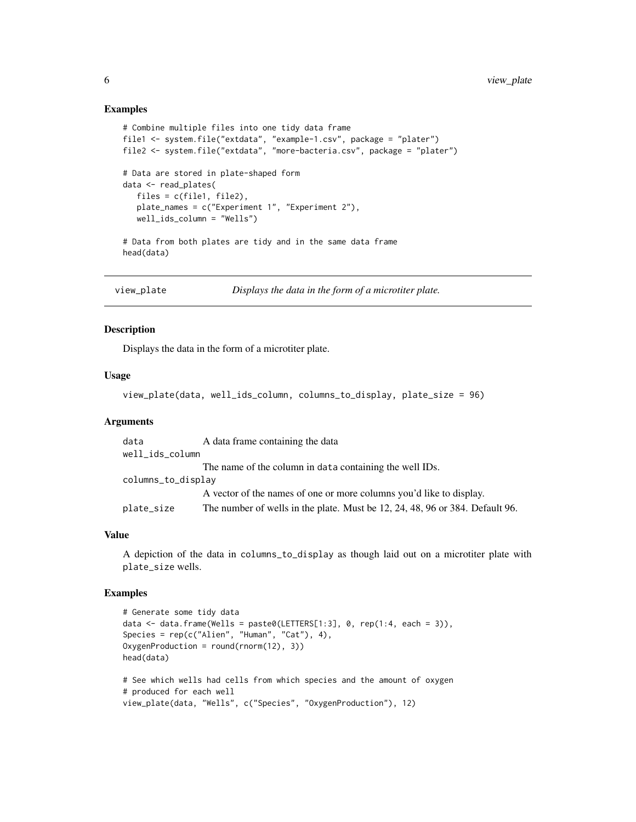#### Examples

```
# Combine multiple files into one tidy data frame
file1 <- system.file("extdata", "example-1.csv", package = "plater")
file2 <- system.file("extdata", "more-bacteria.csv", package = "plater")
# Data are stored in plate-shaped form
data <- read_plates(
   files = c(file1, file2),
   plate_names = c("Experiment 1", "Experiment 2"),
   well_ids_column = "Wells")
# Data from both plates are tidy and in the same data frame
head(data)
```
<span id="page-5-1"></span>

```
view_plate Displays the data in the form of a microtiter plate.
```
#### Description

Displays the data in the form of a microtiter plate.

#### Usage

```
view_plate(data, well_ids_column, columns_to_display, plate_size = 96)
```
#### Arguments

| data               | A data frame containing the data                                             |
|--------------------|------------------------------------------------------------------------------|
| well_ids_column    |                                                                              |
|                    | The name of the column in data containing the well IDs.                      |
| columns_to_display |                                                                              |
|                    | A vector of the names of one or more columns you'd like to display.          |
| plate_size         | The number of wells in the plate. Must be 12, 24, 48, 96 or 384. Default 96. |

#### Value

A depiction of the data in columns\_to\_display as though laid out on a microtiter plate with plate\_size wells.

#### Examples

```
# Generate some tidy data
data <- data.frame(Wells = paste0(LETTERS[1:3], 0, rep(1:4, each = 3)),
Species = rep(c("Alien", "Human", "Cat"), 4),
OxygenProduction = round(rnorm(12), 3))
head(data)
# See which wells had cells from which species and the amount of oxygen
# produced for each well
```
view\_plate(data, "Wells", c("Species", "OxygenProduction"), 12)

<span id="page-5-0"></span>